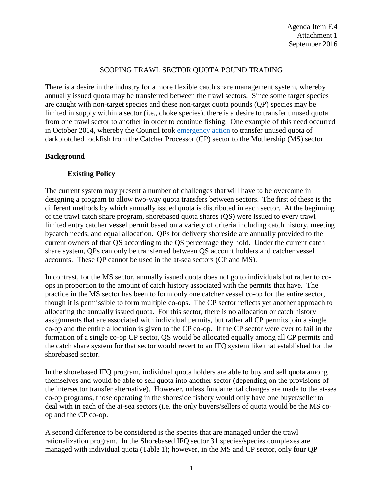#### SCOPING TRAWL SECTOR QUOTA POUND TRADING

There is a desire in the industry for a more flexible catch share management system, whereby annually issued quota may be transferred between the trawl sectors. Since some target species are caught with non-target species and these non-target quota pounds (QP) species may be limited in supply within a sector (i.e., choke species), there is a desire to transfer unused quota from one trawl sector to another in order to continue fishing. One example of this need occurred in October 2014, whereby the Council took [emergency action](http://www.pcouncil.org/2014/10/33548/october-2014-emergency-council-meeting/) to transfer unused quota of darkblotched rockfish from the Catcher Processor (CP) sector to the Mothership (MS) sector.

### **Background**

### **Existing Policy**

The current system may present a number of challenges that will have to be overcome in designing a program to allow two-way quota transfers between sectors. The first of these is the different methods by which annually issued quota is distributed in each sector. At the beginning of the trawl catch share program, shorebased quota shares (QS) were issued to every trawl limited entry catcher vessel permit based on a variety of criteria including catch history, meeting bycatch needs, and equal allocation. QPs for delivery shoreside are annually provided to the current owners of that QS according to the QS percentage they hold. Under the current catch share system, QPs can only be transferred between QS account holders and catcher vessel accounts. These QP cannot be used in the at-sea sectors (CP and MS).

In contrast, for the MS sector, annually issued quota does not go to individuals but rather to coops in proportion to the amount of catch history associated with the permits that have. The practice in the MS sector has been to form only one catcher vessel co-op for the entire sector, though it is permissible to form multiple co-ops. The CP sector reflects yet another approach to allocating the annually issued quota. For this sector, there is no allocation or catch history assignments that are associated with individual permits, but rather all CP permits join a single co-op and the entire allocation is given to the CP co-op. If the CP sector were ever to fail in the formation of a single co-op CP sector, QS would be allocated equally among all CP permits and the catch share system for that sector would revert to an IFQ system like that established for the shorebased sector.

In the shorebased IFQ program, individual quota holders are able to buy and sell quota among themselves and would be able to sell quota into another sector (depending on the provisions of the intersector transfer alternative). However, unless fundamental changes are made to the at-sea co-op programs, those operating in the shoreside fishery would only have one buyer/seller to deal with in each of the at-sea sectors (i.e. the only buyers/sellers of quota would be the MS coop and the CP co-op.

A second difference to be considered is the species that are managed under the trawl rationalization program. In the Shorebased IFQ sector 31 species/species complexes are managed with individual quota [\(Table 1\)](#page-4-0); however, in the MS and CP sector, only four QP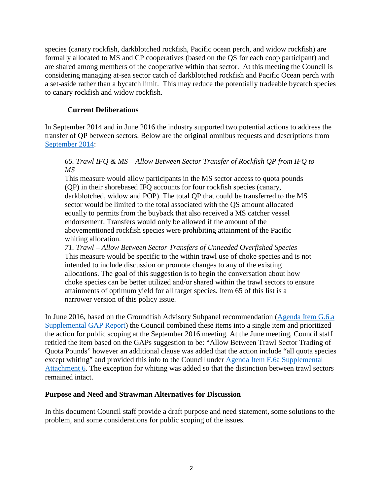species (canary rockfish, darkblotched rockfish, Pacific ocean perch, and widow rockfish) are formally allocated to MS and CP cooperatives (based on the QS for each coop participant) and are shared among members of the cooperative within that sector. At this meeting the Council is considering managing at-sea sector catch of darkblotched rockfish and Pacific Ocean perch with a set-aside rather than a bycatch limit. This may reduce the potentially tradeable bycatch species to canary rockfish and widow rockfish.

## **Current Deliberations**

In September 2014 and in June 2016 the industry supported two potential actions to address the transfer of QP between sectors. Below are the original omnibus requests and descriptions from [September 2014:](http://www.pcouncil.org/wp-content/uploads/J1a_Att1_TheList_SEPT2014BB.pdf)

### *65. Trawl IFQ & MS – Allow Between Sector Transfer of Rockfish QP from IFQ to MS*

This measure would allow participants in the MS sector access to quota pounds (QP) in their shorebased IFQ accounts for four rockfish species (canary, darkblotched, widow and POP). The total QP that could be transferred to the MS sector would be limited to the total associated with the QS amount allocated equally to permits from the buyback that also received a MS catcher vessel endorsement. Transfers would only be allowed if the amount of the abovementioned rockfish species were prohibiting attainment of the Pacific whiting allocation.

*71. Trawl – Allow Between Sector Transfers of Unneeded Overfished Species* This measure would be specific to the within trawl use of choke species and is not intended to include discussion or promote changes to any of the existing allocations. The goal of this suggestion is to begin the conversation about how choke species can be better utilized and/or shared within the trawl sectors to ensure attainments of optimum yield for all target species. Item 65 of this list is a narrower version of this policy issue.

In June 2016, based on the Groundfish Advisory Subpanel recommendation [\(Agenda Item G.6.a](http://www.pcouncil.org/wp-content/uploads/2016/06/G6a_Sup_GAP_Rpt_Omnibus_JUN2016BB.pdf)  [Supplemental GAP Report\)](http://www.pcouncil.org/wp-content/uploads/2016/06/G6a_Sup_GAP_Rpt_Omnibus_JUN2016BB.pdf) the Council combined these items into a single item and prioritized the action for public scoping at the September 2016 meeting. At the June meeting, Council staff retitled the item based on the GAPs suggestion to be: "Allow Between Trawl Sector Trading of Quota Pounds" however an additional clause was added that the action include "all quota species except whiting" and provided this info to the Council under [Agenda Item F.6a Supplemental](http://www.pcouncil.org/wp-content/uploads/2016/06/F6_Sup_Att6_Joint_NMFS_PFMC_Staff_Response_JUN2016BB.pdf)  [Attachment 6.](http://www.pcouncil.org/wp-content/uploads/2016/06/F6_Sup_Att6_Joint_NMFS_PFMC_Staff_Response_JUN2016BB.pdf) The exception for whiting was added so that the distinction between trawl sectors remained intact.

#### **Purpose and Need and Strawman Alternatives for Discussion**

In this document Council staff provide a draft purpose and need statement, some solutions to the problem, and some considerations for public scoping of the issues.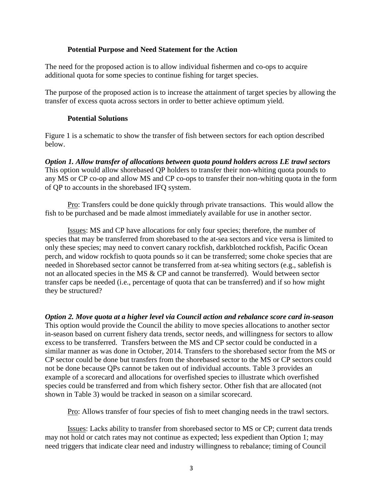### **Potential Purpose and Need Statement for the Action**

The need for the proposed action is to allow individual fishermen and co-ops to acquire additional quota for some species to continue fishing for target species.

The purpose of the proposed action is to increase the attainment of target species by allowing the transfer of excess quota across sectors in order to better achieve optimum yield.

# **Potential Solutions**

[Figure 1](#page-4-1) is a schematic to show the transfer of fish between sectors for each option described below.

*Option 1. Allow transfer of allocations between quota pound holders across LE trawl sectors* This option would allow shorebased QP holders to transfer their non-whiting quota pounds to any MS or CP co-op and allow MS and CP co-ops to transfer their non-whiting quota in the form of QP to accounts in the shorebased IFQ system.

Pro: Transfers could be done quickly through private transactions. This would allow the fish to be purchased and be made almost immediately available for use in another sector.

Issues: MS and CP have allocations for only four species; therefore, the number of species that may be transferred from shorebased to the at-sea sectors and vice versa is limited to only these species; may need to convert canary rockfish, darkblotched rockfish, Pacific Ocean perch, and widow rockfish to quota pounds so it can be transferred; some choke species that are needed in Shorebased sector cannot be transferred from at-sea whiting sectors (e.g., sablefish is not an allocated species in the MS & CP and cannot be transferred). Would between sector transfer caps be needed (i.e., percentage of quota that can be transferred) and if so how might they be structured?

*Option 2. Move quota at a higher level via Council action and rebalance score card in-season* This option would provide the Council the ability to move species allocations to another sector in-season based on current fishery data trends, sector needs, and willingness for sectors to allow excess to be transferred. Transfers between the MS and CP sector could be conducted in a similar manner as was done in October, 2014. Transfers to the shorebased sector from the MS or CP sector could be done but transfers from the shorebased sector to the MS or CP sectors could not be done because QPs cannot be taken out of individual accounts. [Table 3](#page-7-0) provides an example of a scorecard and allocations for overfished species to illustrate which overfished species could be transferred and from which fishery sector. Other fish that are allocated (not shown in [Table 3\)](#page-7-0) would be tracked in season on a similar scorecard.

Pro: Allows transfer of four species of fish to meet changing needs in the trawl sectors.

Issues: Lacks ability to transfer from shorebased sector to MS or CP; current data trends may not hold or catch rates may not continue as expected; less expedient than Option 1; may need triggers that indicate clear need and industry willingness to rebalance; timing of Council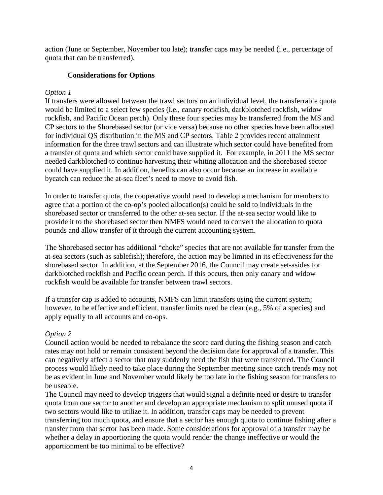action (June or September, November too late); transfer caps may be needed (i.e., percentage of quota that can be transferred).

## **Considerations for Options**

## *Option 1*

If transfers were allowed between the trawl sectors on an individual level, the transferrable quota would be limited to a select few species (i.e., canary rockfish, darkblotched rockfish, widow rockfish, and Pacific Ocean perch). Only these four species may be transferred from the MS and CP sectors to the Shorebased sector (or vice versa) because no other species have been allocated for individual QS distribution in the MS and CP sectors. Table 2 provides recent attainment information for the three trawl sectors and can illustrate which sector could have benefited from a transfer of quota and which sector could have supplied it. For example, in 2011 the MS sector needed darkblotched to continue harvesting their whiting allocation and the shorebased sector could have supplied it. In addition, benefits can also occur because an increase in available bycatch can reduce the at-sea fleet's need to move to avoid fish.

In order to transfer quota, the cooperative would need to develop a mechanism for members to agree that a portion of the co-op's pooled allocation(s) could be sold to individuals in the shorebased sector or transferred to the other at-sea sector. If the at-sea sector would like to provide it to the shorebased sector then NMFS would need to convert the allocation to quota pounds and allow transfer of it through the current accounting system.

The Shorebased sector has additional "choke" species that are not available for transfer from the at-sea sectors (such as sablefish); therefore, the action may be limited in its effectiveness for the shorebased sector. In addition, at the September 2016, the Council may create set-asides for darkblotched rockfish and Pacific ocean perch. If this occurs, then only canary and widow rockfish would be available for transfer between trawl sectors.

If a transfer cap is added to accounts, NMFS can limit transfers using the current system; however, to be effective and efficient, transfer limits need be clear (e.g., 5% of a species) and apply equally to all accounts and co-ops.

#### *Option 2*

Council action would be needed to rebalance the score card during the fishing season and catch rates may not hold or remain consistent beyond the decision date for approval of a transfer. This can negatively affect a sector that may suddenly need the fish that were transferred. The Council process would likely need to take place during the September meeting since catch trends may not be as evident in June and November would likely be too late in the fishing season for transfers to be useable.

The Council may need to develop triggers that would signal a definite need or desire to transfer quota from one sector to another and develop an appropriate mechanism to split unused quota if two sectors would like to utilize it. In addition, transfer caps may be needed to prevent transferring too much quota, and ensure that a sector has enough quota to continue fishing after a transfer from that sector has been made. Some considerations for approval of a transfer may be whether a delay in apportioning the quota would render the change ineffective or would the apportionment be too minimal to be effective?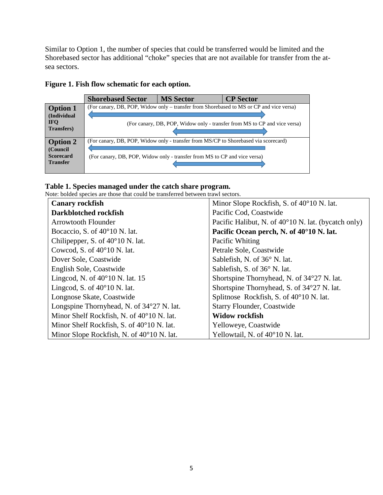Similar to Option 1, the number of species that could be transferred would be limited and the Shorebased sector has additional "choke" species that are not available for transfer from the atsea sectors.

|                                                                    | <b>Shorebased Sector</b>                                                                                                                                         | <b>MS Sector</b> | <b>CP</b> Sector                                                                                                                                                     |
|--------------------------------------------------------------------|------------------------------------------------------------------------------------------------------------------------------------------------------------------|------------------|----------------------------------------------------------------------------------------------------------------------------------------------------------------------|
| <b>Option 1</b><br>(Individual<br><b>IFO</b><br><b>Transfers</b> ) |                                                                                                                                                                  |                  | (For canary, DB, POP, Widow only – transfer from Shorebased to MS or CP and vice versa)<br>(For canary, DB, POP, Widow only - transfer from MS to CP and vice versa) |
| <b>Option 2</b><br>(Council<br><b>Scorecard</b><br><b>Transfer</b> | (For canary, DB, POP, Widow only - transfer from MS/CP to Shorebased via scorecard)<br>(For canary, DB, POP, Widow only - transfer from MS to CP and vice versa) |                  |                                                                                                                                                                      |

# <span id="page-4-1"></span>**Figure 1. Fish flow schematic for each option.**

# <span id="page-4-0"></span>**Table 1. Species managed under the catch share program.**

Note: bolded species are those that could be transferred between trawl sectors.

| <b>Canary rockfish</b>                             | Minor Slope Rockfish, S. of 40°10 N. lat.                    |
|----------------------------------------------------|--------------------------------------------------------------|
| Darkblotched rockfish                              | Pacific Cod, Coastwide                                       |
| <b>Arrowtooth Flounder</b>                         | Pacific Halibut, N. of $40^{\circ}10$ N. lat. (bycatch only) |
| Bocaccio, S. of $40^{\circ}10$ N. lat.             | Pacific Ocean perch, N. of 40°10 N. lat.                     |
| Chilipepper, S. of $40^{\circ}10$ N. lat.          | Pacific Whiting                                              |
| Cowcod, S. of $40^{\circ}10$ N. lat.               | Petrale Sole, Coastwide                                      |
| Dover Sole, Coastwide                              | Sablefish, N. of 36° N. lat.                                 |
| English Sole, Coastwide                            | Sablefish, S. of 36° N. lat.                                 |
| Lingcod, N. of $40^{\circ}10$ N. lat. 15           | Shortspine Thornyhead, N. of 34°27 N. lat.                   |
| Lingcod, S. of $40^{\circ}10$ N. lat.              | Shortspine Thornyhead, S. of 34°27 N. lat.                   |
| Longnose Skate, Coastwide                          | Splitnose Rockfish, S. of 40°10 N. lat.                      |
| Longspine Thornyhead, N. of 34°27 N. lat.          | <b>Starry Flounder, Coastwide</b>                            |
| Minor Shelf Rockfish, N. of 40°10 N. lat.          | <b>Widow rockfish</b>                                        |
| Minor Shelf Rockfish, S. of 40°10 N. lat.          | Yelloweye, Coastwide                                         |
| Minor Slope Rockfish, N. of $40^{\circ}10$ N. lat. | Yellowtail, N. of 40°10 N. lat.                              |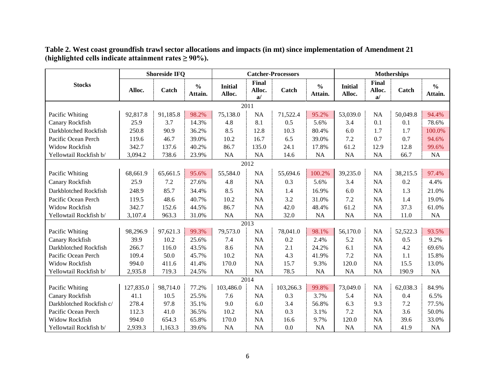|                          |           | <b>Shoreside IFQ</b> |                          |                          |                       | <b>Catcher-Processors</b> | <b>Motherships</b>       |                          |                       |          |                          |
|--------------------------|-----------|----------------------|--------------------------|--------------------------|-----------------------|---------------------------|--------------------------|--------------------------|-----------------------|----------|--------------------------|
| <b>Stocks</b>            | Alloc.    | Catch                | $\frac{0}{0}$<br>Attain. | <b>Initial</b><br>Alloc. | Final<br>Alloc.<br>a/ | Catch                     | $\frac{0}{0}$<br>Attain. | <b>Initial</b><br>Alloc. | Final<br>Alloc.<br>a/ | Catch    | $\frac{0}{0}$<br>Attain. |
|                          |           |                      |                          |                          | 2011                  |                           |                          |                          |                       |          |                          |
| Pacific Whiting          | 92,817.8  | 91,185.8             | 98.2%                    | 75,138.0                 | <b>NA</b>             | 71,522.4                  | 95.2%                    | 53,039.0                 | <b>NA</b>             | 50,049.8 | 94.4%                    |
| Canary Rockfish          | 25.9      | 3.7                  | 14.3%                    | 4.8                      | 8.1                   | 0.5                       | 5.6%                     | 3.4                      | 0.1                   | 0.1      | 78.6%                    |
| Darkblotched Rockfish    | 250.8     | 90.9                 | 36.2%                    | 8.5                      | 12.8                  | 10.3                      | 80.4%                    | 6.0                      | 1.7                   | 1.7      | 100.0%                   |
| Pacific Ocean Perch      | 119.6     | 46.7                 | 39.0%                    | 10.2                     | 16.7                  | 6.5                       | 39.0%                    | 7.2                      | 0.7                   | 0.7      | 94.6%                    |
| <b>Widow Rockfish</b>    | 342.7     | 137.6                | 40.2%                    | 86.7                     | 135.0                 | 24.1                      | 17.8%                    | 61.2                     | 12.9                  | 12.8     | 99.6%                    |
| Yellowtail Rockfish b/   | 3,094.2   | 738.6                | 23.9%                    | <b>NA</b>                | NA                    | 14.6                      | <b>NA</b>                | <b>NA</b>                | NA                    | 66.7     | <b>NA</b>                |
|                          |           |                      |                          |                          | 2012                  |                           |                          |                          |                       |          |                          |
| Pacific Whiting          | 68,661.9  | 65,661.5             | 95.6%                    | 55,584.0                 | <b>NA</b>             | 55,694.6                  | 100.2%                   | 39,235.0                 | NA                    | 38,215.5 | 97.4%                    |
| Canary Rockfish          | 25.9      | 7.2                  | 27.6%                    | 4.8                      | <b>NA</b>             | 0.3                       | 5.6%                     | 3.4                      | <b>NA</b>             | 0.2      | 4.4%                     |
| Darkblotched Rockfish    | 248.9     | 85.7                 | 34.4%                    | 8.5                      | <b>NA</b>             | 1.4                       | 16.9%                    | 6.0                      | <b>NA</b>             | 1.3      | 21.0%                    |
| Pacific Ocean Perch      | 119.5     | 48.6                 | 40.7%                    | 10.2                     | <b>NA</b>             | 3.2                       | 31.0%                    | 7.2                      | <b>NA</b>             | 1.4      | 19.0%                    |
| <b>Widow Rockfish</b>    | 342.7     | 152.6                | 44.5%                    | 86.7                     | <b>NA</b>             | 42.0                      | 48.4%                    | 61.2                     | <b>NA</b>             | 37.3     | 61.0%                    |
| Yellowtail Rockfish b/   | 3,107.4   | 963.3                | 31.0%                    | NA                       | NA                    | 32.0                      | NA                       | NA                       | <b>NA</b>             | 11.0     | NA                       |
|                          |           |                      |                          |                          | 2013                  |                           |                          |                          |                       |          |                          |
| Pacific Whiting          | 98,296.9  | 97,621.3             | 99.3%                    | 79,573.0                 | <b>NA</b>             | 78,041.0                  | 98.1%                    | 56,170.0                 | NA                    | 52,522.3 | 93.5%                    |
| Canary Rockfish          | 39.9      | 10.2                 | 25.6%                    | 7.4                      | <b>NA</b>             | 0.2                       | 2.4%                     | 5.2                      | <b>NA</b>             | 0.5      | 9.2%                     |
| Darkblotched Rockfish    | 266.7     | 116.0                | 43.5%                    | 8.6                      | <b>NA</b>             | 2.1                       | 24.2%                    | 6.1                      | <b>NA</b>             | 4.2      | 69.6%                    |
| Pacific Ocean Perch      | 109.4     | 50.0                 | 45.7%                    | 10.2                     | <b>NA</b>             | 4.3                       | 41.9%                    | 7.2                      | <b>NA</b>             | 1.1      | 15.8%                    |
| <b>Widow Rockfish</b>    | 994.0     | 411.6                | 41.4%                    | 170.0                    | <b>NA</b>             | 15.7                      | 9.3%                     | 120.0                    | <b>NA</b>             | 15.5     | 13.0%                    |
| Yellowtail Rockfish b/   | 2,935.8   | 719.3                | 24.5%                    | NA                       | NA                    | 78.5                      | <b>NA</b>                | NA                       | NA                    | 190.9    | <b>NA</b>                |
|                          |           |                      |                          |                          | 2014                  |                           |                          |                          |                       |          |                          |
| Pacific Whiting          | 127,835.0 | 98,714.0             | 77.2%                    | 103,486.0                | <b>NA</b>             | 103,266.3                 | 99.8%                    | 73,049.0                 | NA                    | 62,038.3 | 84.9%                    |
| Canary Rockfish          | 41.1      | 10.5                 | 25.5%                    | 7.6                      | NA                    | 0.3                       | 3.7%                     | 5.4                      | <b>NA</b>             | 0.4      | 6.5%                     |
| Darkblotched Rockfish c/ | 278.4     | 97.8                 | 35.1%                    | 9.0                      | 6.0                   | 3.4                       | 56.8%                    | 6.3                      | 9.3                   | 7.2      | 77.5%                    |
| Pacific Ocean Perch      | 112.3     | 41.0                 | 36.5%                    | 10.2                     | <b>NA</b>             | 0.3                       | 3.1%                     | 7.2                      | <b>NA</b>             | 3.6      | 50.0%                    |
| <b>Widow Rockfish</b>    | 994.0     | 654.3                | 65.8%                    | 170.0                    | NA                    | 16.6                      | 9.7%                     | 120.0                    | <b>NA</b>             | 39.6     | 33.0%                    |
| Yellowtail Rockfish b/   | 2,939.3   | 1,163.3              | 39.6%                    | NA                       | <b>NA</b>             | 0.0                       | <b>NA</b>                | <b>NA</b>                | <b>NA</b>             | 41.9     | <b>NA</b>                |

**Table 2. West coast groundfish trawl sector allocations and impacts (in mt) since implementation of Amendment 21 (highlighted cells indicate attainment rates ≥ 90%).**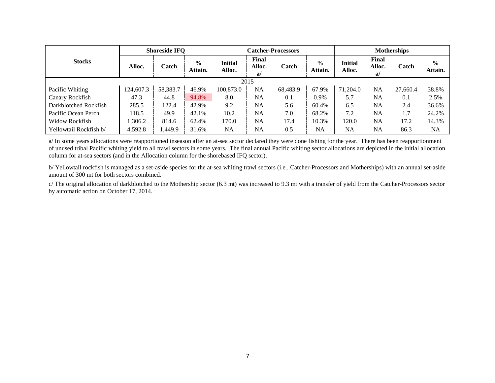|                        |           | <b>Shoreside IFQ</b> |                          |                   |                      | <b>Catcher-Processors</b> | <b>Motherships</b>       |                          |                       |          |                          |
|------------------------|-----------|----------------------|--------------------------|-------------------|----------------------|---------------------------|--------------------------|--------------------------|-----------------------|----------|--------------------------|
| <b>Stocks</b>          | Alloc.    | Catch                | $\frac{6}{9}$<br>Attain. | Initial<br>Alloc. | Final<br>Alloc.<br>a | Catch                     | $\frac{6}{9}$<br>Attain. | <b>Initial</b><br>Alloc. | Final<br>Alloc.<br>a/ | Catch    | $\frac{6}{9}$<br>Attain. |
|                        |           | 2015                 |                          |                   |                      |                           |                          |                          |                       |          |                          |
| Pacific Whiting        | 124,607.3 | 58,383.7             | 46.9%                    | 100,873.0         | NA                   | 68,483.9                  | 67.9%                    | 71,204.0                 | NA                    | 27,660.4 | 38.8%                    |
| Canary Rockfish        | 47.3      | 44.8                 | 94.8%                    | 8.0               | NA                   | 0.1                       | $0.9\%$                  | 5.7                      | NΑ                    | 0.1      | 2.5%                     |
| Darkblotched Rockfish  | 285.5     | 122.4                | 42.9%                    | 9.2               | NA                   | 5.6                       | 60.4%                    | 6.5                      | NA                    | 2.4      | 36.6%                    |
| Pacific Ocean Perch    | 118.5     | 49.9                 | 42.1%                    | 10.2              | NA                   | 7.0                       | 68.2%                    | 7.2                      | NΑ                    | 1.7      | 24.2%                    |
| Widow Rockfish         | 1,306.2   | 814.6                | 62.4%                    | 170.0             | NA                   | 17.4                      | 10.3%                    | 120.0                    | NΑ                    | 17.2     | 14.3%                    |
| Yellowtail Rockfish b/ | 4,592.8   | ,449.9               | 31.6%                    | NA                | NA                   | 0.5                       | <b>NA</b>                | <b>NA</b>                | NA                    | 86.3     | <b>NA</b>                |

a/ In some years allocations were reapportioned inseason after an at-sea sector declared they were done fishing for the year. There has been reapportionment of unused tribal Pacific whiting yield to all trawl sectors in some years. The final annual Pacific whiting sector allocations are depicted in the initial allocation column for at-sea sectors (and in the Allocation column for the shorebased IFQ sector).

b/ Yellowtail rockfish is managed as a set-aside species for the at-sea whiting trawl sectors (i.e., Catcher-Processors and Motherships) with an annual set-aside amount of 300 mt for both sectors combined.

c/ The original allocation of darkblotched to the Mothership sector (6.3 mt) was increased to 9.3 mt with a transfer of yield from the Catcher-Processors sector by automatic action on October 17, 2014.